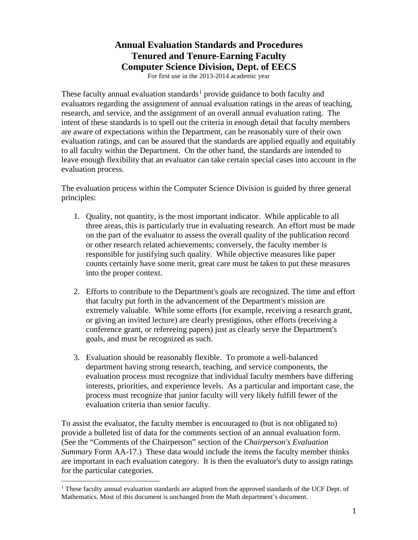# **Annual Evaluation Standards and Procedures Tenured and Tenure-Earning Faculty Computer Science Division, Dept. of EECS**

For first use in the 2013-2014 academic year

These faculty annual evaluation standards<sup>[1](#page-0-0)</sup> provide guidance to both faculty and evaluators regarding the assignment of annual evaluation ratings in the areas of teaching, research, and service, and the assignment of an overall annual evaluation rating. The intent of these standards is to spell out the criteria in enough detail that faculty members are aware of expectations within the Department, can be reasonably sure of their own evaluation ratings, and can be assured that the standards are applied equally and equitably to all faculty within the Department. On the other hand, the standards are intended to leave enough flexibility that an evaluator can take certain special cases into account in the evaluation process.

The evaluation process within the Computer Science Division is guided by three general principles:

- 1. Quality, not quantity, is the most important indicator. While applicable to all three areas, this is particularly true in evaluating research. An effort must be made on the part of the evaluator to assess the overall quality of the publication record or other research related achievements; conversely, the faculty member is responsible for justifying such quality. While objective measures like paper counts certainly have some merit, great care must be taken to put these measures into the proper context.
- 2. Efforts to contribute to the Department's goals are recognized. The time and effort that faculty put forth in the advancement of the Department's mission are extremely valuable. While some efforts (for example, receiving a research grant, or giving an invited lecture) are clearly prestigious, other efforts (receiving a conference grant, or refereeing papers) just as clearly serve the Department's goals, and must be recognized as such.
- 3. Evaluation should be reasonably flexible. To promote a well-balanced department having strong research, teaching, and service components, the evaluation process must recognize that individual faculty members have differing interests, priorities, and experience levels. As a particular and important case, the process must recognize that junior faculty will very likely fulfill fewer of the evaluation criteria than senior faculty.

To assist the evaluator, the faculty member is encouraged to (but is not obligated to) provide a bulleted list of data for the comments section of an annual evaluation form. (See the "Comments of the Chairperson" section of the *Chairperson's Evaluation Summary* Form AA-17.) These data would include the items the faculty member thinks are important in each evaluation category. It is then the evaluator's duty to assign ratings for the particular categories.

<span id="page-0-0"></span><sup>&</sup>lt;sup>1</sup> These faculty annual evaluation standards are adapted from the approved standards of the UCF Dept. of Mathematics. Most of this document is unchanged from the Math department's document.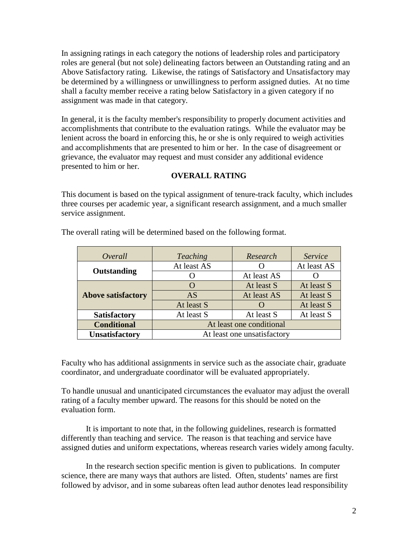In assigning ratings in each category the notions of leadership roles and participatory roles are general (but not sole) delineating factors between an Outstanding rating and an Above Satisfactory rating. Likewise, the ratings of Satisfactory and Unsatisfactory may be determined by a willingness or unwillingness to perform assigned duties. At no time shall a faculty member receive a rating below Satisfactory in a given category if no assignment was made in that category.

In general, it is the faculty member's responsibility to properly document activities and accomplishments that contribute to the evaluation ratings. While the evaluator may be lenient across the board in enforcing this, he or she is only required to weigh activities and accomplishments that are presented to him or her. In the case of disagreement or grievance, the evaluator may request and must consider any additional evidence presented to him or her.

#### **OVERALL RATING**

This document is based on the typical assignment of tenure-track faculty, which includes three courses per academic year, a significant research assignment, and a much smaller service assignment.

| Overall                   | <b>Teaching</b>             | Research    | Service     |
|---------------------------|-----------------------------|-------------|-------------|
| Outstanding               | At least AS                 |             | At least AS |
|                           |                             | At least AS |             |
| <b>Above satisfactory</b> |                             | At least S  | At least S  |
|                           | AS                          | At least AS | At least S  |
|                           | At least S                  |             | At least S  |
| <b>Satisfactory</b>       | At least S                  | At least S  | At least S  |
| <b>Conditional</b>        | At least one conditional    |             |             |
| <b>Unsatisfactory</b>     | At least one unsatisfactory |             |             |

The overall rating will be determined based on the following format.

Faculty who has additional assignments in service such as the associate chair, graduate coordinator, and undergraduate coordinator will be evaluated appropriately.

To handle unusual and unanticipated circumstances the evaluator may adjust the overall rating of a faculty member upward. The reasons for this should be noted on the evaluation form.

It is important to note that, in the following guidelines, research is formatted differently than teaching and service. The reason is that teaching and service have assigned duties and uniform expectations, whereas research varies widely among faculty.

In the research section specific mention is given to publications. In computer science, there are many ways that authors are listed. Often, students' names are first followed by advisor, and in some subareas often lead author denotes lead responsibility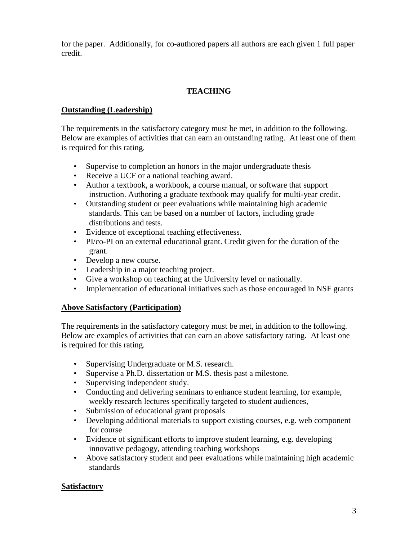for the paper. Additionally, for co-authored papers all authors are each given 1 full paper credit.

### **TEACHING**

#### **Outstanding (Leadership)**

The requirements in the satisfactory category must be met, in addition to the following. Below are examples of activities that can earn an outstanding rating. At least one of them is required for this rating.

- Supervise to completion an honors in the major undergraduate thesis
- Receive a UCF or a national teaching award.
- Author a textbook, a workbook, a course manual, or software that support instruction. Authoring a graduate textbook may qualify for multi-year credit.
- Outstanding student or peer evaluations while maintaining high academic standards. This can be based on a number of factors, including grade distributions and tests.
- Evidence of exceptional teaching effectiveness.
- PI/co-PI on an external educational grant. Credit given for the duration of the grant.
- Develop a new course.
- Leadership in a major teaching project.
- Give a workshop on teaching at the University level or nationally.
- Implementation of educational initiatives such as those encouraged in NSF grants

#### **Above Satisfactory (Participation)**

The requirements in the satisfactory category must be met, in addition to the following. Below are examples of activities that can earn an above satisfactory rating. At least one is required for this rating.

- Supervising Undergraduate or M.S. research.
- Supervise a Ph.D. dissertation or M.S. thesis past a milestone.
- Supervising independent study.
- Conducting and delivering seminars to enhance student learning, for example, weekly research lectures specifically targeted to student audiences,
- Submission of educational grant proposals
- Developing additional materials to support existing courses, e.g. web component for course
- Evidence of significant efforts to improve student learning, e.g. developing innovative pedagogy, attending teaching workshops
- Above satisfactory student and peer evaluations while maintaining high academic standards

#### **Satisfactory**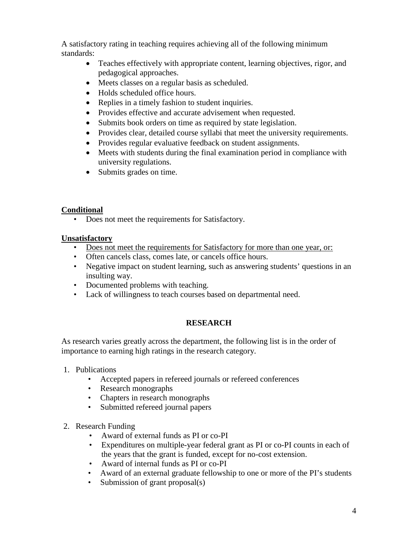A satisfactory rating in teaching requires achieving all of the following minimum standards:

- Teaches effectively with appropriate content, learning objectives, rigor, and pedagogical approaches.
- Meets classes on a regular basis as scheduled.
- Holds scheduled office hours.
- Replies in a timely fashion to student inquiries.
- Provides effective and accurate advisement when requested.
- Submits book orders on time as required by state legislation.
- Provides clear, detailed course syllabi that meet the university requirements.
- Provides regular evaluative feedback on student assignments.
- Meets with students during the final examination period in compliance with university regulations.
- Submits grades on time.

# **Conditional**

• Does not meet the requirements for Satisfactory.

# **Unsatisfactory**

- Does not meet the requirements for Satisfactory for more than one year, or:
- Often cancels class, comes late, or cancels office hours.
- Negative impact on student learning, such as answering students' questions in an insulting way.
- Documented problems with teaching.
- Lack of willingness to teach courses based on departmental need.

# **RESEARCH**

As research varies greatly across the department, the following list is in the order of importance to earning high ratings in the research category.

- 1. Publications
	- Accepted papers in refereed journals or refereed conferences
	- Research monographs
	- Chapters in research monographs
	- Submitted refereed journal papers
- 2. Research Funding
	- Award of external funds as PI or co-PI
	- Expenditures on multiple-year federal grant as PI or co-PI counts in each of the years that the grant is funded, except for no-cost extension.
	- Award of internal funds as PI or co-PI
	- Award of an external graduate fellowship to one or more of the PI's students
	- Submission of grant proposal(s)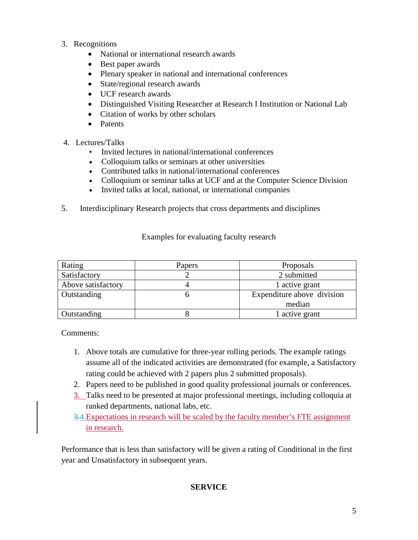- 3. Recognitions
	- National or international research awards
	- Best paper awards
	- Plenary speaker in national and international conferences
	- State/regional research awards
	- UCF research awards
	- Distinguished Visiting Researcher at Research I Institution or National Lab
	- Citation of works by other scholars
	- Patents
- 4. Lectures/Talks
	- Invited lectures in national/international conferences
	- Colloquium talks or seminars at other universities
	- Contributed talks in national/international conferences
	- Colloquium or seminar talks at UCF and at the Computer Science Division
	- Invited talks at local, national, or international companies
- 5. Interdisciplinary Research projects that cross departments and disciplines

| Rating             | Papers | Proposals                  |  |
|--------------------|--------|----------------------------|--|
| Satisfactory       |        | 2 submitted                |  |
| Above satisfactory |        | 1 active grant             |  |
| Outstanding        |        | Expenditure above division |  |
|                    |        | median                     |  |
| Outstanding        |        | 1 active grant             |  |

Examples for evaluating faculty research

Comments:

- 1. Above totals are cumulative for three-year rolling periods. The example ratings assume all of the indicated activities are demonstrated (for example, a Satisfactory rating could be achieved with 2 papers plus 2 submitted proposals).
- 2. Papers need to be published in good quality professional journals or conferences.
- 3. Talks need to be presented at major professional meetings, including colloquia at ranked departments, national labs, etc.
- 3.4.Expectations in research will be scaled by the faculty member's FTE assignment in research.

Performance that is less than satisfactory will be given a rating of Conditional in the first year and Unsatisfactory in subsequent years.

# **SERVICE**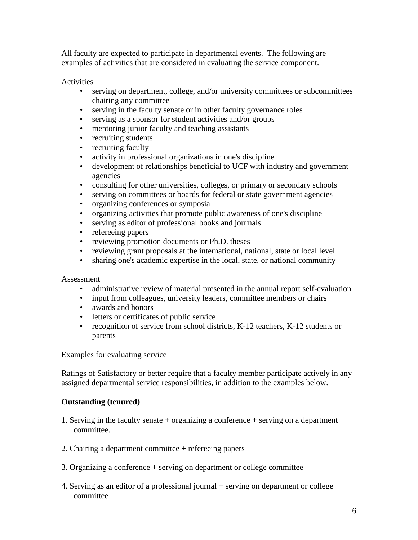All faculty are expected to participate in departmental events. The following are examples of activities that are considered in evaluating the service component.

#### Activities

- serving on department, college, and/or university committees or subcommittees chairing any committee
- serving in the faculty senate or in other faculty governance roles
- serving as a sponsor for student activities and/or groups
- mentoring junior faculty and teaching assistants
- recruiting students
- recruiting faculty
- activity in professional organizations in one's discipline
- development of relationships beneficial to UCF with industry and government agencies
- consulting for other universities, colleges, or primary or secondary schools
- serving on committees or boards for federal or state government agencies
- organizing conferences or symposia
- organizing activities that promote public awareness of one's discipline
- serving as editor of professional books and journals
- refereeing papers
- reviewing promotion documents or Ph.D. theses
- reviewing grant proposals at the international, national, state or local level
- sharing one's academic expertise in the local, state, or national community

#### Assessment

- administrative review of material presented in the annual report self-evaluation
- input from colleagues, university leaders, committee members or chairs
- awards and honors
- letters or certificates of public service
- recognition of service from school districts, K-12 teachers, K-12 students or parents

Examples for evaluating service

Ratings of Satisfactory or better require that a faculty member participate actively in any assigned departmental service responsibilities, in addition to the examples below.

#### **Outstanding (tenured)**

- 1. Serving in the faculty senate + organizing a conference + serving on a department committee.
- 2. Chairing a department committee + refereeing papers
- 3. Organizing a conference + serving on department or college committee
- 4. Serving as an editor of a professional journal + serving on department or college committee